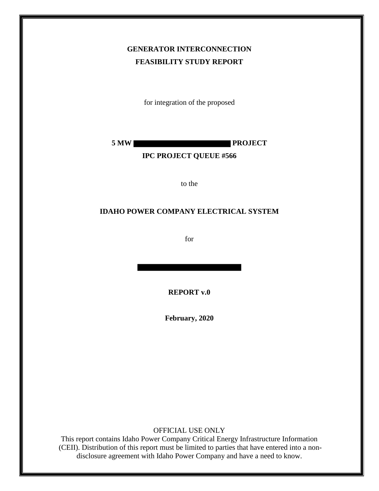## **GENERATOR INTERCONNECTION FEASIBILITY STUDY REPORT**

for integration of the proposed

**5 MW PROJECT**

#### **IPC PROJECT QUEUE #566**

to the

#### **IDAHO POWER COMPANY ELECTRICAL SYSTEM**

for

**REPORT v.0**

**February, 2020**

OFFICIAL USE ONLY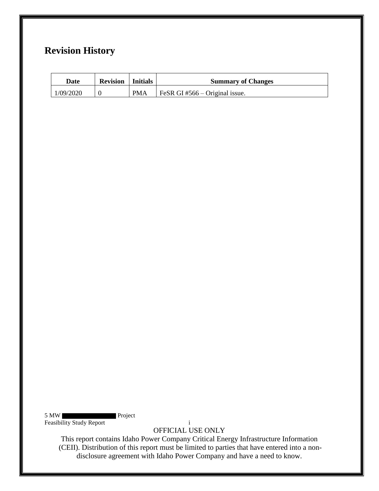## **Revision History**

| Date      | <b>Revision</b> Initials |            | <b>Summary of Changes</b>      |
|-----------|--------------------------|------------|--------------------------------|
| 1/09/2020 |                          | <b>PMA</b> | FeSR GI #566 – Original issue. |

5 MW Project Feasibility Study Report i

OFFICIAL USE ONLY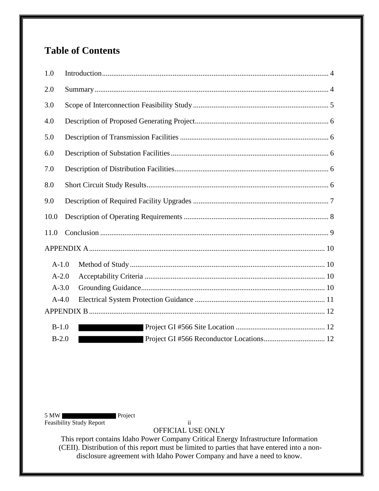# **Table of Contents**

| 1.0       |  |  |  |  |
|-----------|--|--|--|--|
| 2.0       |  |  |  |  |
| 3.0       |  |  |  |  |
| 4.0       |  |  |  |  |
| 5.0       |  |  |  |  |
| 6.0       |  |  |  |  |
| 7.0       |  |  |  |  |
| 8.0       |  |  |  |  |
| 9.0       |  |  |  |  |
| 10.0      |  |  |  |  |
| 11.0      |  |  |  |  |
|           |  |  |  |  |
| $A-1.0$   |  |  |  |  |
| $A-2.0$   |  |  |  |  |
| $A - 3.0$ |  |  |  |  |
| $A-4.0$   |  |  |  |  |
|           |  |  |  |  |
| $B-1.0$   |  |  |  |  |
| $B-2.0$   |  |  |  |  |

5 MW Project Feasibility Study Report ii

OFFICIAL USE ONLY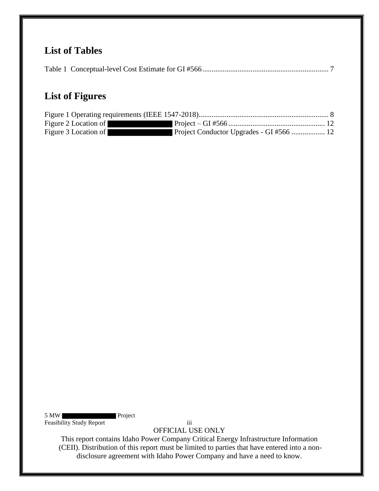## **List of Tables**

|--|--|--|--|

## **List of Figures**

| Figure 2 Location of |  |
|----------------------|--|
| Figure 3 Location of |  |

5 MW Project Feasibility Study Report iii

OFFICIAL USE ONLY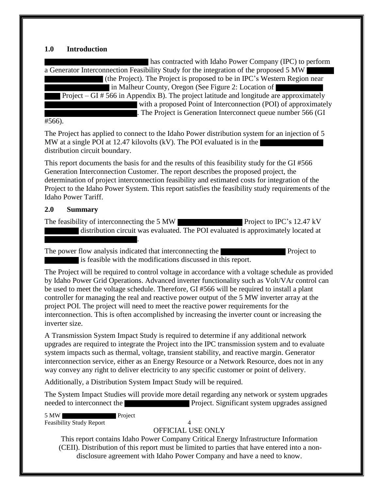#### **1.0 Introduction**

| has contracted with Idaho Power Company (IPC) to perform                                        |  |  |  |  |
|-------------------------------------------------------------------------------------------------|--|--|--|--|
| a Generator Interconnection Feasibility Study for the integration of the proposed 5 MW          |  |  |  |  |
| (the Project). The Project is proposed to be in IPC's Western Region near                       |  |  |  |  |
| in Malheur County, Oregon (See Figure 2: Location of                                            |  |  |  |  |
| Project – GI $# 566$ in Appendix B). The project latitude and longitude are approximately       |  |  |  |  |
| with a proposed Point of Interconnection (POI) of approximately                                 |  |  |  |  |
| . The Project is Generation Interconnect queue number 566 (GI                                   |  |  |  |  |
| #566).                                                                                          |  |  |  |  |
| The Project has applied to connect to the Idaho Power distribution system for an injection of 5 |  |  |  |  |
| MW at a single POI at 12.47 kilovolts (kV). The POI evaluated is in the                         |  |  |  |  |
| distribution circuit boundary.                                                                  |  |  |  |  |

This report documents the basis for and the results of this feasibility study for the GI #566 Generation Interconnection Customer. The report describes the proposed project, the determination of project interconnection feasibility and estimated costs for integration of the Project to the Idaho Power System. This report satisfies the feasibility study requirements of the Idaho Power Tariff.

#### **2.0 Summary**

The feasibility of interconnecting the 5 MW Project to IPC's 12.47 kV distribution circuit was evaluated. The POI evaluated is approximately located at

The power flow analysis indicated that interconnecting the Project to Project to is feasible with the modifications discussed in this report.

The Project will be required to control voltage in accordance with a voltage schedule as provided by Idaho Power Grid Operations. Advanced inverter functionality such as Volt/VAr control can be used to meet the voltage schedule. Therefore, GI #566 will be required to install a plant controller for managing the real and reactive power output of the 5 MW inverter array at the project POI. The project will need to meet the reactive power requirements for the interconnection. This is often accomplished by increasing the inverter count or increasing the inverter size.

A Transmission System Impact Study is required to determine if any additional network upgrades are required to integrate the Project into the IPC transmission system and to evaluate system impacts such as thermal, voltage, transient stability, and reactive margin. Generator interconnection service, either as an Energy Resource or a Network Resource, does not in any way convey any right to deliver electricity to any specific customer or point of delivery.

Additionally, a Distribution System Impact Study will be required.

.

The System Impact Studies will provide more detail regarding any network or system upgrades needed to interconnect the **Project.** Significant system upgrades assigned

5 MW Project

Feasibility Study Report 4

#### OFFICIAL USE ONLY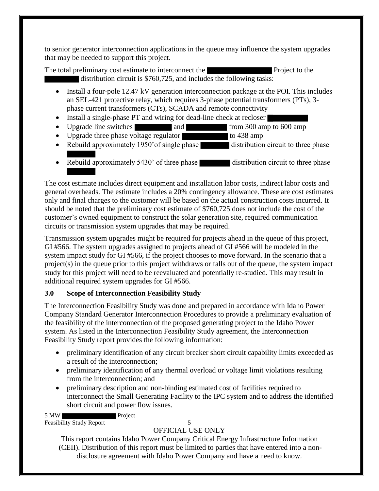to senior generator interconnection applications in the queue may influence the system upgrades that may be needed to support this project.

The total preliminary cost estimate to interconnect the **Project** to the Project to the distribution circuit is \$760,725, and includes the following tasks:

- Install a four-pole 12.47 kV generation interconnection package at the POI. This includes an SEL-421 protective relay, which requires 3-phase potential transformers (PTs), 3 phase current transformers (CTs), SCADA and remote connectivity
- Install a single-phase PT and wiring for dead-line check at recloser
- Upgrade line switches and from 300 amp to 600 amp<br>• Upgrade three phase voltage regulator to 438 amp
- Upgrade three phase voltage regulator
- Rebuild approximately 1950' of single phase distribution circuit to three phase
- Rebuild approximately 5430' of three phase distribution circuit to three phase

The cost estimate includes direct equipment and installation labor costs, indirect labor costs and general overheads. The estimate includes a 20% contingency allowance. These are cost estimates only and final charges to the customer will be based on the actual construction costs incurred. It should be noted that the preliminary cost estimate of \$760,725 does not include the cost of the customer's owned equipment to construct the solar generation site, required communication circuits or transmission system upgrades that may be required.

Transmission system upgrades might be required for projects ahead in the queue of this project, GI #566. The system upgrades assigned to projects ahead of GI #566 will be modeled in the system impact study for GI #566, if the project chooses to move forward. In the scenario that a project(s) in the queue prior to this project withdraws or falls out of the queue, the system impact study for this project will need to be reevaluated and potentially re-studied. This may result in additional required system upgrades for GI #566.

## **3.0 Scope of Interconnection Feasibility Study**

The Interconnection Feasibility Study was done and prepared in accordance with Idaho Power Company Standard Generator Interconnection Procedures to provide a preliminary evaluation of the feasibility of the interconnection of the proposed generating project to the Idaho Power system. As listed in the Interconnection Feasibility Study agreement, the Interconnection Feasibility Study report provides the following information:

- preliminary identification of any circuit breaker short circuit capability limits exceeded as a result of the interconnection;
- preliminary identification of any thermal overload or voltage limit violations resulting from the interconnection; and
- preliminary description and non-binding estimated cost of facilities required to interconnect the Small Generating Facility to the IPC system and to address the identified short circuit and power flow issues.

5 MW Project Feasibility Study Report 5

## OFFICIAL USE ONLY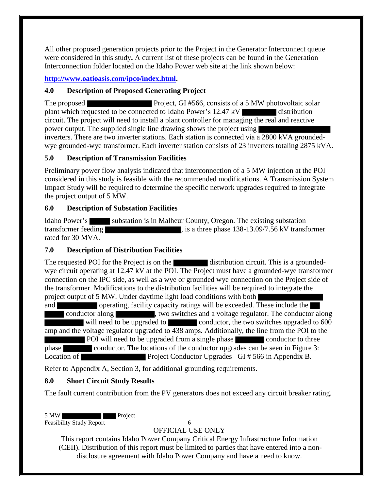All other proposed generation projects prior to the Project in the Generator Interconnect queue were considered in this study**.** A current list of these projects can be found in the Generation Interconnection folder located on the Idaho Power web site at the link shown below:

**http://www.oatioasis.com/ipco/index.html.**

## **4.0 Description of Proposed Generating Project**

The proposed **Project, GI #566, consists of a 5 MW** photovoltaic solar plant which requested to be connected to Idaho Power's 12.47 kV distribution circuit. The project will need to install a plant controller for managing the real and reactive power output. The supplied single line drawing shows the project using inverters. There are two inverter stations. Each station is connected via a 2800 kVA groundedwye grounded-wye transformer. Each inverter station consists of 23 inverters totaling 2875 kVA.

## **5.0 Description of Transmission Facilities**

Preliminary power flow analysis indicated that interconnection of a 5 MW injection at the POI considered in this study is feasible with the recommended modifications. A Transmission System Impact Study will be required to determine the specific network upgrades required to integrate the project output of 5 MW.

## **6.0 Description of Substation Facilities**

Idaho Power's substation is in Malheur County, Oregon. The existing substation transformer feeding  $\blacksquare$ , is a three phase 138-13.09/7.56 kV transformer rated for 30 MVA.

## **7.0 Description of Distribution Facilities**

The requested POI for the Project is on the distribution circuit. This is a groundedwye circuit operating at 12.47 kV at the POI. The Project must have a grounded-wye transformer connection on the IPC side, as well as a wye or grounded wye connection on the Project side of the transformer. Modifications to the distribution facilities will be required to integrate the project output of 5 MW. Under daytime light load conditions with both

and operating, facility capacity ratings will be exceeded. These include the conductor along , two switches and a voltage regulator. The conductor along will need to be upgraded to conductor, the two switches upgraded to 600 amp and the voltage regulator upgraded to 438 amps. Additionally, the line from the POI to the POI will need to be upgraded from a single phase conductor to three phase conductor. The locations of the conductor upgrades can be seen in Figure 3: Location of Project Conductor Upgrades– GI # 566 in Appendix B.

Refer to Appendix A, Section 3, for additional grounding requirements.

## **8.0 Short Circuit Study Results**

The fault current contribution from the PV generators does not exceed any circuit breaker rating.

5 MW Project

Feasibility Study Report 6

## OFFICIAL USE ONLY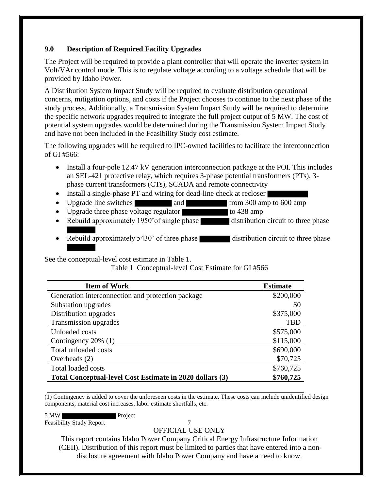### **9.0 Description of Required Facility Upgrades**

The Project will be required to provide a plant controller that will operate the inverter system in Volt/VAr control mode. This is to regulate voltage according to a voltage schedule that will be provided by Idaho Power.

A Distribution System Impact Study will be required to evaluate distribution operational concerns, mitigation options, and costs if the Project chooses to continue to the next phase of the study process. Additionally, a Transmission System Impact Study will be required to determine the specific network upgrades required to integrate the full project output of 5 MW. The cost of potential system upgrades would be determined during the Transmission System Impact Study and have not been included in the Feasibility Study cost estimate.

The following upgrades will be required to IPC-owned facilities to facilitate the interconnection of GI #566:

- Install a four-pole 12.47 kV generation interconnection package at the POI. This includes an SEL-421 protective relay, which requires 3-phase potential transformers (PTs), 3 phase current transformers (CTs), SCADA and remote connectivity
- Install a single-phase PT and wiring for dead-line check at recloser
- Upgrade line switches and from 300 amp to 600 amp
- Upgrade three phase voltage regulator to  $438 \text{ amp}$
- Rebuild approximately 1950' of single phase distribution circuit to three phase
- Rebuild approximately 5430' of three phase distribution circuit to three phase

See the conceptual-level cost estimate in Table 1.

Table 1 Conceptual-level Cost Estimate for GI #566

| <b>Item of Work</b>                                      | <b>Estimate</b> |
|----------------------------------------------------------|-----------------|
| Generation interconnection and protection package        | \$200,000       |
| Substation upgrades                                      | \$0             |
| Distribution upgrades                                    | \$375,000       |
| Transmission upgrades                                    | <b>TBD</b>      |
| Unloaded costs                                           | \$575,000       |
| Contingency 20% (1)                                      | \$115,000       |
| Total unloaded costs                                     | \$690,000       |
| Overheads $(2)$                                          | \$70,725        |
| <b>Total loaded costs</b>                                | \$760,725       |
| Total Conceptual-level Cost Estimate in 2020 dollars (3) | \$760,725       |

(1) Contingency is added to cover the unforeseen costs in the estimate. These costs can include unidentified design components, material cost increases, labor estimate shortfalls, etc.

5 MW Project Feasibility Study Report 7

#### OFFICIAL USE ONLY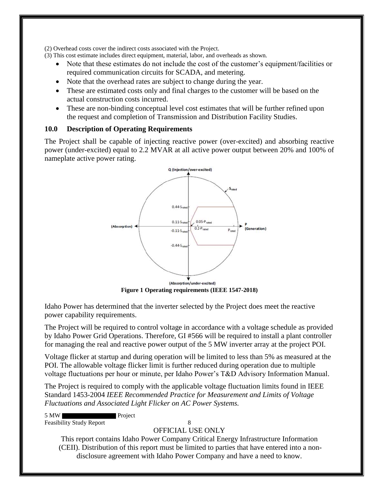(2) Overhead costs cover the indirect costs associated with the Project.

(3) This cost estimate includes direct equipment, material, labor, and overheads as shown.

- Note that these estimates do not include the cost of the customer's equipment/facilities or required communication circuits for SCADA, and metering.
- Note that the overhead rates are subject to change during the year.
- These are estimated costs only and final charges to the customer will be based on the actual construction costs incurred.
- These are non-binding conceptual level cost estimates that will be further refined upon the request and completion of Transmission and Distribution Facility Studies.

#### **10.0 Description of Operating Requirements**

The Project shall be capable of injecting reactive power (over-excited) and absorbing reactive power (under-excited) equal to 2.2 MVAR at all active power output between 20% and 100% of nameplate active power rating.



**Figure 1 Operating requirements (IEEE 1547-2018)**

Idaho Power has determined that the inverter selected by the Project does meet the reactive power capability requirements.

The Project will be required to control voltage in accordance with a voltage schedule as provided by Idaho Power Grid Operations. Therefore, GI #566 will be required to install a plant controller for managing the real and reactive power output of the 5 MW inverter array at the project POI.

Voltage flicker at startup and during operation will be limited to less than 5% as measured at the POI. The allowable voltage flicker limit is further reduced during operation due to multiple voltage fluctuations per hour or minute, per Idaho Power's T&D Advisory Information Manual.

The Project is required to comply with the applicable voltage fluctuation limits found in IEEE Standard 1453-2004 *IEEE Recommended Practice for Measurement and Limits of Voltage Fluctuations and Associated Light Flicker on AC Power Systems.* 

5 MW Project Feasibility Study Report 8

#### OFFICIAL USE ONLY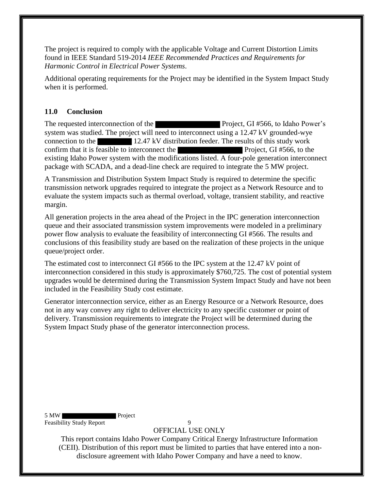The project is required to comply with the applicable Voltage and Current Distortion Limits found in IEEE Standard 519-2014 *IEEE Recommended Practices and Requirements for Harmonic Control in Electrical Power Systems*.

Additional operating requirements for the Project may be identified in the System Impact Study when it is performed.

### **11.0 Conclusion**

The requested interconnection of the **Project**, GI #566, to Idaho Power's system was studied. The project will need to interconnect using a 12.47 kV grounded-wye connection to the 12.47 kV distribution feeder. The results of this study work confirm that it is feasible to interconnect the Project, GI #566, to the existing Idaho Power system with the modifications listed. A four-pole generation interconnect package with SCADA, and a dead-line check are required to integrate the 5 MW project.

A Transmission and Distribution System Impact Study is required to determine the specific transmission network upgrades required to integrate the project as a Network Resource and to evaluate the system impacts such as thermal overload, voltage, transient stability, and reactive margin.

All generation projects in the area ahead of the Project in the IPC generation interconnection queue and their associated transmission system improvements were modeled in a preliminary power flow analysis to evaluate the feasibility of interconnecting GI #566. The results and conclusions of this feasibility study are based on the realization of these projects in the unique queue/project order.

The estimated cost to interconnect GI #566 to the IPC system at the 12.47 kV point of interconnection considered in this study is approximately \$760,725. The cost of potential system upgrades would be determined during the Transmission System Impact Study and have not been included in the Feasibility Study cost estimate.

Generator interconnection service, either as an Energy Resource or a Network Resource, does not in any way convey any right to deliver electricity to any specific customer or point of delivery. Transmission requirements to integrate the Project will be determined during the System Impact Study phase of the generator interconnection process.

5 MW Project Feasibility Study Report 9

OFFICIAL USE ONLY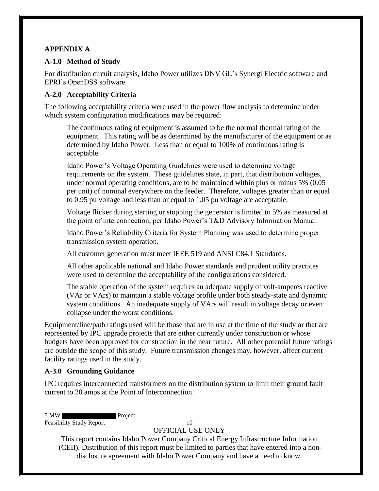### **APPENDIX A**

#### **A-1.0 Method of Study**

For distribution circuit analysis, Idaho Power utilizes DNV GL's Synergi Electric software and EPRI's OpenDSS software.

### **A-2.0 Acceptability Criteria**

The following acceptability criteria were used in the power flow analysis to determine under which system configuration modifications may be required:

The continuous rating of equipment is assumed to be the normal thermal rating of the equipment. This rating will be as determined by the manufacturer of the equipment or as determined by Idaho Power. Less than or equal to 100% of continuous rating is acceptable.

Idaho Power's Voltage Operating Guidelines were used to determine voltage requirements on the system. These guidelines state, in part, that distribution voltages, under normal operating conditions, are to be maintained within plus or minus 5% (0.05 per unit) of nominal everywhere on the feeder. Therefore, voltages greater than or equal to 0.95 pu voltage and less than or equal to 1.05 pu voltage are acceptable.

Voltage flicker during starting or stopping the generator is limited to 5% as measured at the point of interconnection, per Idaho Power's T&D Advisory Information Manual.

Idaho Power's Reliability Criteria for System Planning was used to determine proper transmission system operation.

All customer generation must meet IEEE 519 and ANSI C84.1 Standards.

All other applicable national and Idaho Power standards and prudent utility practices were used to determine the acceptability of the configurations considered.

The stable operation of the system requires an adequate supply of volt-amperes reactive (VAr or VArs) to maintain a stable voltage profile under both steady-state and dynamic system conditions. An inadequate supply of VArs will result in voltage decay or even collapse under the worst conditions.

Equipment/line/path ratings used will be those that are in use at the time of the study or that are represented by IPC upgrade projects that are either currently under construction or whose budgets have been approved for construction in the near future. All other potential future ratings are outside the scope of this study. Future transmission changes may, however, affect current facility ratings used in the study.

## **A-3.0 Grounding Guidance**

IPC requires interconnected transformers on the distribution system to limit their ground fault current to 20 amps at the Point of Interconnection.

5 MW Project

Feasibility Study Report 10

## OFFICIAL USE ONLY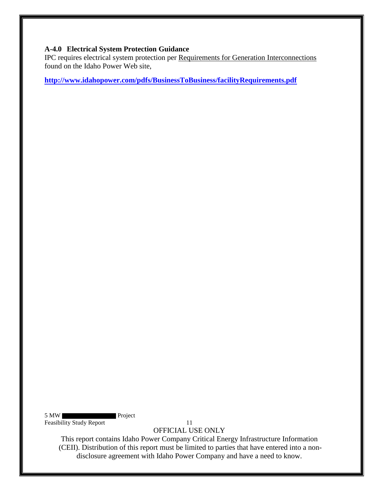#### **A-4.0 Electrical System Protection Guidance**

IPC requires electrical system protection per Requirements for Generation Interconnections found on the Idaho Power Web site,

**http://www.idahopower.com/pdfs/BusinessToBusiness/facilityRequirements.pdf**

5 MW Project Feasibility Study Report 11

OFFICIAL USE ONLY